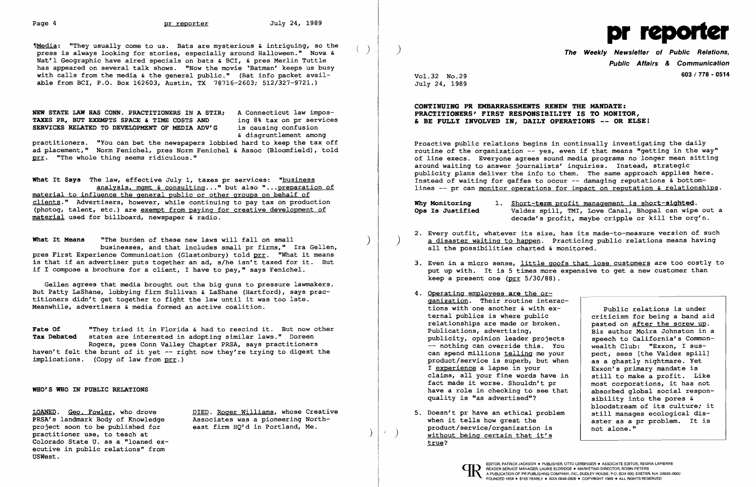$M$ Media: "They usually come to us. Bats are mysterious & intriguing, so the press is always looking for stories, especially around Halloween." Nova & Nat'l Geographic have aired specials on bats & BCI, & pres Merlin Tuttle has appeared on several talk shows. "Now the movie 'Batman' keeps us busy with calls from the media & the general public." (Bat info packet available from BCI, P.O. Box 162603, Austin, TX 78716-2603; 512/327-9721.)

NEW STATE LAW HAS CONN. PRACTITIONERS IN A STIR; A Connecticut law impos-<br>TAXES PR. BUT EXEMPTS SPACE & TIME COSTS AND ing 8% tax on pr services TAXES PR, BUT EXEMPTS SPACE & TIME COSTS AND ing 8% tax on pr services RELATED TO DEVELOPMENT OF MEDIA ADV'G is causing confusion SERVICES RELATED TO DEVELOPMENT OF MEDIA ADV'G

What It Says The law, effective July 1, taxes pr services: "business analysis. mgmt & consulting... " but also" ...preparation of material to influence the general public or other groups on behalf of clients." Advertisers, however, while continuing to pay tax on production (photog, talent, etc.) are exempt from paying for creative development of material used for billboard, newspaper & radio.

& disgruntlement among

practitioners. "You can bet the newspapers lobbied hard to keep the tax off ad placement," Norm Fenichel, pres Norm Fenichel & Assoc (Bloomfield), told prr. "The whole thing seems ridiculous."

What It Means "The burden of these new laws will fall on small businesses, and that includes small pr firms," Ira Gellen, pres First Experience Communication (Glastonbury) told prr. "What it means is that if an advertiser puts together an ad, s/he isn't taxed for it. But if I compose a brochure for a client, I have to pay," says Fenichel.

Fate Of **"They tried it in Florida & had to rescind it.** But now other Tax Debated states are interested in adopting similar laws." Doreen Rogers, pres Conn Valley Chapter PRSA, says practitioners haven't felt the brunt of it yet -- right now they're trying to digest the implications. (Copy of law from prr.)

LOANED. Geo. Fowler, who drove DIED. Roger Williams, whose Creative PRSA's landmark Body of Knowledge and Associates was a pioneering Normoniect soon to be published for east firm HO'd in Portland, Me. practitioner use, to teach at .<br>Colorado State U. as a "loaned executive in public relations" from USWest.

PRSA's landmark Body of Knowledge Associates was a pioneering North-

Why Monitoring 1. Short-term profit management is short-sighted.<br>Ops Is Justified Valdez spill, TMI, Love Canal, Bhopal can wipe Valdez spill, TMI, Love Canal, Bhopal can wipe out a decade's profit, maybe cripple or kill the org'n.

2. Every outfit, whatever its size, has its made-to-measure version of such ) a disaster waiting to happen. Practicing public relations means having

Gellen agrees that media brought out the big guns to pressure lawmakers. But Patty LaShane, lobbying firm Sullivan & LaShane (Hartford), says practitioners didn't get together to fight the law until it was too late. Meanwhile, advertisers & media formed an active coalition.

3. Even in a micro sense, little goofs that lose customers are too costly to put up with. It is 5 times more expensive to get a new customer than

WHO'S WHO IN PUBLIC RELATIONS

- **a all the possibilities charted & monitored.**
- keep a present one (prr 5/30/88).
- 4. Operating employees are the organization. Their routine interac tions with one another & with ex ternal publics is where public relationships are made or broken. Publications, advertising, publicity, opinion leader projects -- nothing can override this. You can spend millions telling me your product/service is superb, but when I experience a lapse in your claims, all your fine words have fact made it worse. Shouldn't pr have a role in checking to see that quality is "as advertised"?
- 5. Doesn't pr have an ethical problem when it tells how great the product/service/organization is<br>without being certain that it's true?

 $\mathcal{L}$ 



) The Weekly Newsletter of Public Relations, Public Affairs & Communication 603/778 - <sup>0514</sup>

Vol.32 No.29 July 24, 1989

CONTINUING PR EMBARRASSMENTS RENEW THE MANDATE: PRACTITIONERS' FIRST RESPONSIBILITY IS TO MONITOR, & BE FULLY INVOLVED IN, DAILY OPERATIONS -- OR ELSE!

Proactive public relations begins in continually investigating the daily routine of the organization -- yes, even if that means "getting in the way" of line execs. Everyone agrees sound media programs no longer mean sitting around waiting to answer journalists' inquiries. Instead, strategic publicity plans deliver the info to them. The same approach applies here. Instead of waiting for gaffes to occur -- damaging reputations & bottomlines -- pr can monitor operations for impact on reputation & relationships.

| ac-        |                                |
|------------|--------------------------------|
|            | Public relations is under      |
|            | criticism for being a band aid |
|            | pasted on after the screw up.  |
|            | Biz author Moira Johnston in a |
| ES.        | speech to California's Common- |
| Σū         | wealth Club: "Exxon, I sus-    |
| ır         | pect, sees [the Valdez spill]  |
| <b>nen</b> | as a ghastly nightmare. Yet    |
|            | Exxon's primary mandate is     |
| in         | still to make a profit. Like   |
|            | most corporations, it has not  |
| <b>nat</b> | absorbed global social respon- |
|            | sibility into the pores &      |
|            | bloodstream of its culture; it |
| ∍m         | still manages ecological dis-  |
|            | aster as a pr problem. It is   |
|            | not alone."                    |
|            |                                |